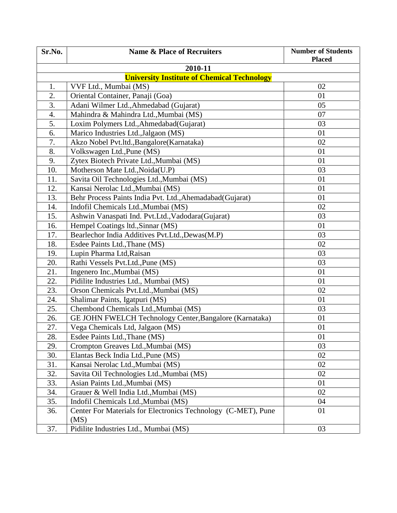| Sr.No.                                             | <b>Name &amp; Place of Recruiters</b>                                 | <b>Number of Students</b><br><b>Placed</b> |  |  |  |  |
|----------------------------------------------------|-----------------------------------------------------------------------|--------------------------------------------|--|--|--|--|
| 2010-11                                            |                                                                       |                                            |  |  |  |  |
| <b>University Institute of Chemical Technology</b> |                                                                       |                                            |  |  |  |  |
| 1.                                                 | VVF Ltd., Mumbai (MS)                                                 | 02                                         |  |  |  |  |
| 2.                                                 | Oriental Container, Panaji (Goa)                                      | 01                                         |  |  |  |  |
| 3.                                                 | Adani Wilmer Ltd., Ahmedabad (Gujarat)                                | 05                                         |  |  |  |  |
| 4.                                                 | Mahindra & Mahindra Ltd., Mumbai (MS)                                 | 07                                         |  |  |  |  |
| 5.                                                 | Loxim Polymers Ltd., Ahmedabad(Gujarat)                               | 03                                         |  |  |  |  |
| 6.                                                 | Marico Industries Ltd., Jalgaon (MS)                                  | 01                                         |  |  |  |  |
| 7.                                                 | Akzo Nobel Pvt.ltd., Bangalore (Karnataka)                            | 02                                         |  |  |  |  |
| 8.                                                 | Volkswagen Ltd., Pune (MS)                                            | 01                                         |  |  |  |  |
| 9.                                                 | Zytex Biotech Private Ltd., Mumbai (MS)                               | 01                                         |  |  |  |  |
| 10.                                                | Motherson Mate Ltd., Noida(U.P)                                       | 03                                         |  |  |  |  |
| 11.                                                | Savita Oil Technologies Ltd., Mumbai (MS)                             | 01                                         |  |  |  |  |
| 12.                                                | Kansai Nerolac Ltd., Mumbai (MS)                                      | 01                                         |  |  |  |  |
| 13.                                                | Behr Process Paints India Pvt. Ltd., Ahemadabad (Gujarat)             | 01                                         |  |  |  |  |
| 14.                                                | Indofil Chemicals Ltd., Mumbai (MS)                                   | 02                                         |  |  |  |  |
| 15.                                                | Ashwin Vanaspati Ind. Pvt.Ltd., Vadodara (Gujarat)                    | 03                                         |  |  |  |  |
| 16.                                                | Hempel Coatings ltd., Sinnar (MS)                                     | 01                                         |  |  |  |  |
| 17.                                                | Bearlechor India Additives Pvt.Ltd., Dewas(M.P)                       | 03                                         |  |  |  |  |
| 18.                                                | Esdee Paints Ltd., Thane (MS)                                         | 02                                         |  |  |  |  |
| 19.                                                | Lupin Pharma Ltd, Raisan                                              | 03                                         |  |  |  |  |
| 20.                                                | Rathi Vessels Pvt.Ltd., Pune (MS)                                     | 03                                         |  |  |  |  |
| 21.                                                | Ingenero Inc., Mumbai (MS)                                            | 01                                         |  |  |  |  |
| 22.                                                | Pidilite Industries Ltd., Mumbai (MS)                                 | 01                                         |  |  |  |  |
| 23.                                                | Orson Chemicals Pvt.Ltd., Mumbai (MS)                                 | 02                                         |  |  |  |  |
| 24.                                                | Shalimar Paints, Igatpuri (MS)                                        | 01                                         |  |  |  |  |
| 25.                                                | Chembond Chemicals Ltd., Mumbai (MS)                                  | 03                                         |  |  |  |  |
| 26.                                                | GE JOHN FWELCH Technology Center, Bangalore (Karnataka)               | 01                                         |  |  |  |  |
| 27.                                                | Vega Chemicals Ltd, Jalgaon (MS)                                      | 01                                         |  |  |  |  |
| 28.                                                | Esdee Paints Ltd., Thane (MS)                                         | 01                                         |  |  |  |  |
| 29.                                                | Crompton Greaves Ltd., Mumbai (MS)                                    | 03                                         |  |  |  |  |
| 30.                                                | Elantas Beck India Ltd., Pune (MS)                                    | 02                                         |  |  |  |  |
| 31.                                                | Kansai Nerolac Ltd., Mumbai (MS)                                      | 02                                         |  |  |  |  |
| 32.                                                | Savita Oil Technologies Ltd., Mumbai (MS)                             | 02                                         |  |  |  |  |
| 33.                                                | Asian Paints Ltd., Mumbai (MS)                                        | 01                                         |  |  |  |  |
| 34.                                                | Grauer & Well India Ltd., Mumbai (MS)                                 | 02                                         |  |  |  |  |
| 35.                                                | Indofil Chemicals Ltd., Mumbai (MS)                                   | 04                                         |  |  |  |  |
| 36.                                                | Center For Materials for Electronics Technology (C-MET), Pune<br>(MS) | 01                                         |  |  |  |  |
| 37.                                                | Pidilite Industries Ltd., Mumbai (MS)                                 | 03                                         |  |  |  |  |